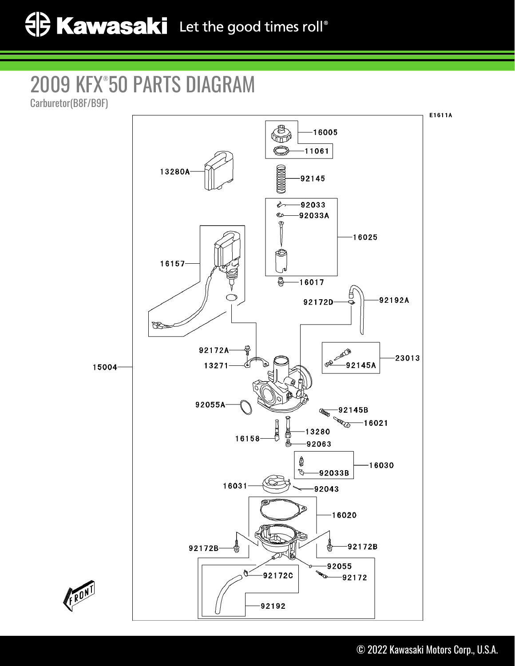## 2009 KFX® 50 PARTS DIAGRAM

Carburetor(B8F/B9F)



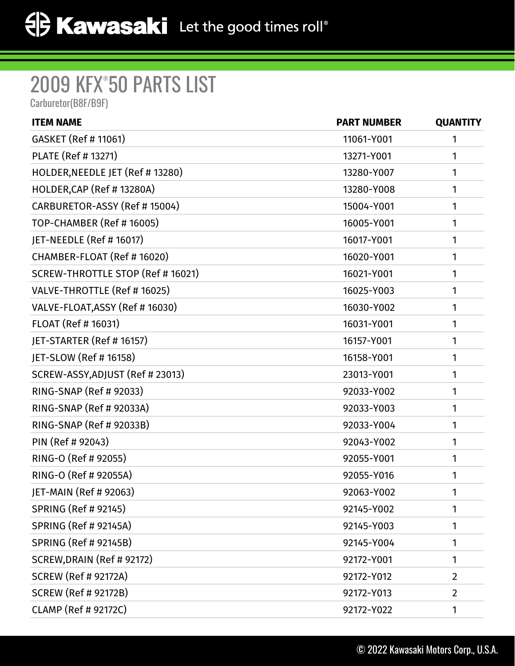## 2009 KFX® 50 PARTS LIST

Carburetor(B8F/B9F)

| <b>ITEM NAME</b>                  | <b>PART NUMBER</b> | <b>QUANTITY</b> |
|-----------------------------------|--------------------|-----------------|
| GASKET (Ref # 11061)              | 11061-Y001         | 1               |
| PLATE (Ref # 13271)               | 13271-Y001         | 1               |
| HOLDER, NEEDLE JET (Ref # 13280)  | 13280-Y007         | 1               |
| HOLDER, CAP (Ref # 13280A)        | 13280-Y008         | 1               |
| CARBURETOR-ASSY (Ref # 15004)     | 15004-Y001         | 1               |
| TOP-CHAMBER (Ref # 16005)         | 16005-Y001         | 1               |
| JET-NEEDLE (Ref # 16017)          | 16017-Y001         | 1               |
| CHAMBER-FLOAT (Ref # 16020)       | 16020-Y001         | 1               |
| SCREW-THROTTLE STOP (Ref # 16021) | 16021-Y001         | 1               |
| VALVE-THROTTLE (Ref # 16025)      | 16025-Y003         | 1               |
| VALVE-FLOAT, ASSY (Ref # 16030)   | 16030-Y002         | 1               |
| FLOAT (Ref # 16031)               | 16031-Y001         | 1               |
| JET-STARTER (Ref # 16157)         | 16157-Y001         | 1               |
| JET-SLOW (Ref # 16158)            | 16158-Y001         | 1               |
| SCREW-ASSY, ADJUST (Ref # 23013)  | 23013-Y001         | 1               |
| RING-SNAP (Ref # 92033)           | 92033-Y002         | 1               |
| RING-SNAP (Ref # 92033A)          | 92033-Y003         | 1               |
| RING-SNAP (Ref # 92033B)          | 92033-Y004         | 1               |
| PIN (Ref # 92043)                 | 92043-Y002         | 1               |
| RING-O (Ref # 92055)              | 92055-Y001         | 1               |
| RING-O (Ref # 92055A)             | 92055-Y016         | 1               |
| JET-MAIN (Ref # 92063)            | 92063-Y002         | 1               |
| SPRING (Ref # 92145)              | 92145-Y002         | 1               |
| <b>SPRING (Ref # 92145A)</b>      | 92145-Y003         | 1               |
| <b>SPRING (Ref # 92145B)</b>      | 92145-Y004         | 1               |
| SCREW, DRAIN (Ref # 92172)        | 92172-Y001         | 1               |
| <b>SCREW (Ref # 92172A)</b>       | 92172-Y012         | $\overline{2}$  |
| <b>SCREW (Ref # 92172B)</b>       | 92172-Y013         | $\overline{2}$  |
| <b>CLAMP (Ref # 92172C)</b>       | 92172-Y022         | 1               |